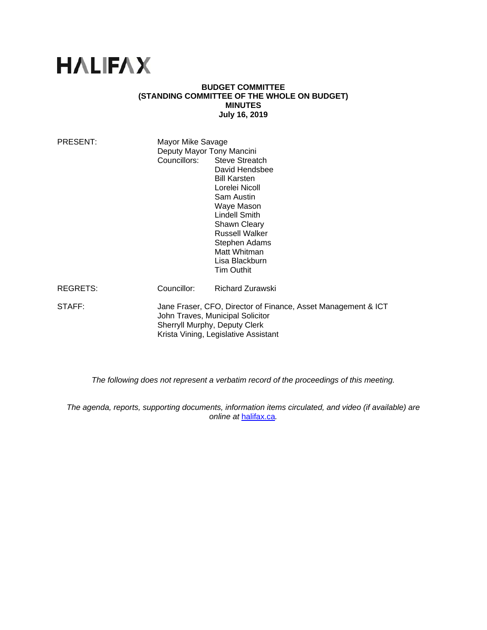# **HALIFAX**

#### **BUDGET COMMITTEE (STANDING COMMITTEE OF THE WHOLE ON BUDGET) MINUTES July 16, 2019**

| PRESENT:        | Mayor Mike Savage                                                                                                                                                          |                             |
|-----------------|----------------------------------------------------------------------------------------------------------------------------------------------------------------------------|-----------------------------|
|                 | Deputy Mayor Tony Mancini                                                                                                                                                  |                             |
|                 |                                                                                                                                                                            | Councillors: Steve Streatch |
|                 |                                                                                                                                                                            | David Hendsbee              |
|                 |                                                                                                                                                                            | <b>Bill Karsten</b>         |
|                 |                                                                                                                                                                            | Lorelei Nicoll              |
|                 |                                                                                                                                                                            | Sam Austin                  |
|                 |                                                                                                                                                                            | Waye Mason                  |
|                 |                                                                                                                                                                            | Lindell Smith               |
|                 |                                                                                                                                                                            | <b>Shawn Cleary</b>         |
|                 |                                                                                                                                                                            | <b>Russell Walker</b>       |
|                 |                                                                                                                                                                            | Stephen Adams               |
|                 |                                                                                                                                                                            | Matt Whitman                |
|                 |                                                                                                                                                                            | Lisa Blackburn              |
|                 |                                                                                                                                                                            | Tim Outhit                  |
| <b>REGRETS:</b> | Councillor:                                                                                                                                                                | Richard Zurawski            |
| STAFF:          | Jane Fraser, CFO, Director of Finance, Asset Management & ICT<br>John Traves, Municipal Solicitor<br>Sherryll Murphy, Deputy Clerk<br>Krista Vining, Legislative Assistant |                             |
|                 |                                                                                                                                                                            |                             |

*The following does not represent a verbatim record of the proceedings of this meeting.* 

*The agenda, reports, supporting documents, information items circulated, and video (if available) are online at* halifax.ca*.*